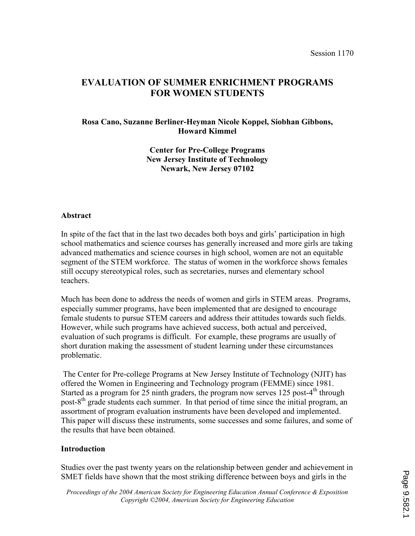# EVALUATION OF SUMMER ENRICHMENT PROGRAMS FOR WOMEN STUDENTS

### Rosa Cano, Suzanne Berliner-Heyman Nicole Koppel, Siobhan Gibbons, Howard Kimmel

Center for Pre-College Programs New Jersey Institute of Technology Newark, New Jersey 07102

### Abstract

In spite of the fact that in the last two decades both boys and girls' participation in high school mathematics and science courses has generally increased and more girls are taking advanced mathematics and science courses in high school, women are not an equitable segment of the STEM workforce. The status of women in the workforce shows females still occupy stereotypical roles, such as secretaries, nurses and elementary school teachers.

Much has been done to address the needs of women and girls in STEM areas. Programs, especially summer programs, have been implemented that are designed to encourage female students to pursue STEM careers and address their attitudes towards such fields. However, while such programs have achieved success, both actual and perceived, evaluation of such programs is difficult. For example, these programs are usually of short duration making the assessment of student learning under these circumstances problematic.

 The Center for Pre-college Programs at New Jersey Institute of Technology (NJIT) has offered the Women in Engineering and Technology program (FEMME) since 1981. Started as a program for 25 ninth graders, the program now serves 125 post-4<sup>th</sup> through post-8<sup>th</sup> grade students each summer. In that period of time since the initial program, an assortment of program evaluation instruments have been developed and implemented. This paper will discuss these instruments, some successes and some failures, and some of the results that have been obtained.

### Introduction

Studies over the past twenty years on the relationship between gender and achievement in SMET fields have shown that the most striking difference between boys and girls in the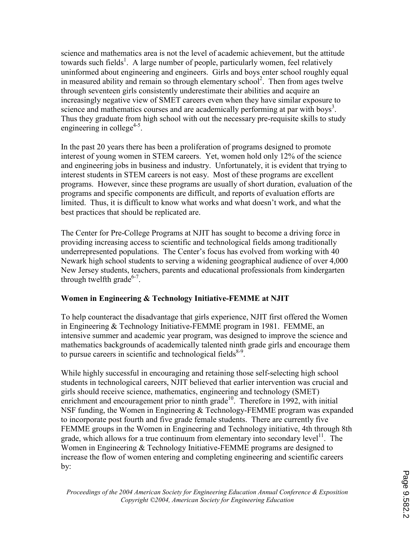science and mathematics area is not the level of academic achievement, but the attitude towards such fields<sup>1</sup>. A large number of people, particularly women, feel relatively uninformed about engineering and engineers. Girls and boys enter school roughly equal in measured ability and remain so through elementary school<sup>2</sup>. Then from ages twelve through seventeen girls consistently underestimate their abilities and acquire an increasingly negative view of SMET careers even when they have similar exposure to science and mathematics courses and are academically performing at par with boys<sup>3</sup>. Thus they graduate from high school with out the necessary pre-requisite skills to study engineering in college<sup>4-5</sup>.

In the past 20 years there has been a proliferation of programs designed to promote interest of young women in STEM careers. Yet, women hold only 12% of the science and engineering jobs in business and industry. Unfortunately, it is evident that trying to interest students in STEM careers is not easy. Most of these programs are excellent programs. However, since these programs are usually of short duration, evaluation of the programs and specific components are difficult, and reports of evaluation efforts are limited. Thus, it is difficult to know what works and what doesn't work, and what the best practices that should be replicated are.

The Center for Pre-College Programs at NJIT has sought to become a driving force in providing increasing access to scientific and technological fields among traditionally underrepresented populations. The Center's focus has evolved from working with 40 Newark high school students to serving a widening geographical audience of over 4,000 New Jersey students, teachers, parents and educational professionals from kindergarten through twelfth grade $6-7$ .

## Women in Engineering & Technology Initiative-FEMME at NJIT

To help counteract the disadvantage that girls experience, NJIT first offered the Women in Engineering & Technology Initiative-FEMME program in 1981. FEMME, an intensive summer and academic year program, was designed to improve the science and mathematics backgrounds of academically talented ninth grade girls and encourage them to pursue careers in scientific and technological fields $8-9$ .

While highly successful in encouraging and retaining those self-selecting high school students in technological careers, NJIT believed that earlier intervention was crucial and girls should receive science, mathematics, engineering and technology (SMET) enrichment and encouragement prior to ninth grade<sup>10</sup>. Therefore in 1992, with initial NSF funding, the Women in Engineering & Technology-FEMME program was expanded to incorporate post fourth and five grade female students. There are currently five FEMME groups in the Women in Engineering and Technology initiative, 4th through 8th grade, which allows for a true continuum from elementary into secondary level<sup>11</sup>. The Women in Engineering & Technology Initiative-FEMME programs are designed to increase the flow of women entering and completing engineering and scientific careers by: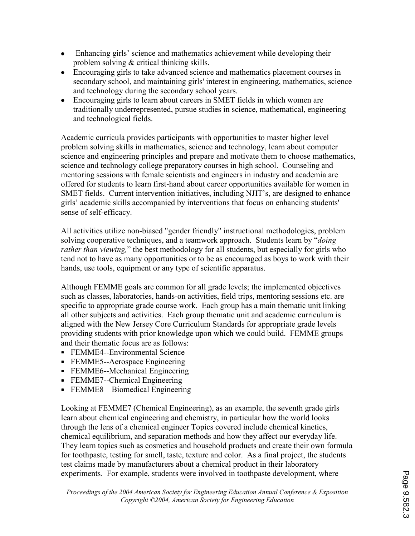- Enhancing girls' science and mathematics achievement while developing their problem solving & critical thinking skills.
- Encouraging girls to take advanced science and mathematics placement courses in secondary school, and maintaining girls' interest in engineering, mathematics, science and technology during the secondary school years.
- Encouraging girls to learn about careers in SMET fields in which women are traditionally underrepresented, pursue studies in science, mathematical, engineering and technological fields.

Academic curricula provides participants with opportunities to master higher level problem solving skills in mathematics, science and technology, learn about computer science and engineering principles and prepare and motivate them to choose mathematics, science and technology college preparatory courses in high school. Counseling and mentoring sessions with female scientists and engineers in industry and academia are offered for students to learn first-hand about career opportunities available for women in SMET fields. Current intervention initiatives, including NJIT's, are designed to enhance girls' academic skills accompanied by interventions that focus on enhancing students' sense of self-efficacy.

All activities utilize non-biased "gender friendly" instructional methodologies, problem solving cooperative techniques, and a teamwork approach. Students learn by "*doing* rather than viewing," the best methodology for all students, but especially for girls who tend not to have as many opportunities or to be as encouraged as boys to work with their hands, use tools, equipment or any type of scientific apparatus.

Although FEMME goals are common for all grade levels; the implemented objectives such as classes, laboratories, hands-on activities, field trips, mentoring sessions etc. are specific to appropriate grade course work. Each group has a main thematic unit linking all other subjects and activities. Each group thematic unit and academic curriculum is aligned with the New Jersey Core Curriculum Standards for appropriate grade levels providing students with prior knowledge upon which we could build. FEMME groups and their thematic focus are as follows:

- FEMME4--Environmental Science
- FEMME5--Aerospace Engineering
- FEMME6--Mechanical Engineering
- FEMME7--Chemical Engineering
- FEMME8—Biomedical Engineering

Looking at FEMME7 (Chemical Engineering), as an example, the seventh grade girls learn about chemical engineering and chemistry, in particular how the world looks through the lens of a chemical engineer Topics covered include chemical kinetics, chemical equilibrium, and separation methods and how they affect our everyday life. They learn topics such as cosmetics and household products and create their own formula for toothpaste, testing for smell, taste, texture and color. As a final project, the students test claims made by manufacturers about a chemical product in their laboratory experiments. For example, students were involved in toothpaste development, where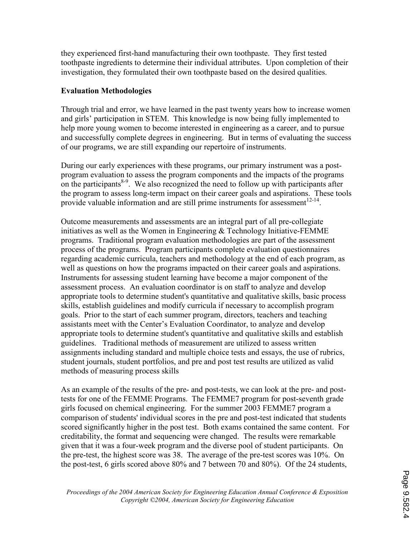they experienced first-hand manufacturing their own toothpaste. They first tested toothpaste ingredients to determine their individual attributes. Upon completion of their investigation, they formulated their own toothpaste based on the desired qualities.

### Evaluation Methodologies

Through trial and error, we have learned in the past twenty years how to increase women and girls' participation in STEM. This knowledge is now being fully implemented to help more young women to become interested in engineering as a career, and to pursue and successfully complete degrees in engineering. But in terms of evaluating the success of our programs, we are still expanding our repertoire of instruments.

During our early experiences with these programs, our primary instrument was a postprogram evaluation to assess the program components and the impacts of the programs on the participants $8-9$ . We also recognized the need to follow up with participants after the program to assess long-term impact on their career goals and aspirations. These tools provide valuable information and are still prime instruments for assessment $^{12-14}$ .

Outcome measurements and assessments are an integral part of all pre-collegiate initiatives as well as the Women in Engineering & Technology Initiative-FEMME programs. Traditional program evaluation methodologies are part of the assessment process of the programs. Program participants complete evaluation questionnaires regarding academic curricula, teachers and methodology at the end of each program, as well as questions on how the programs impacted on their career goals and aspirations. Instruments for assessing student learning have become a major component of the assessment process. An evaluation coordinator is on staff to analyze and develop appropriate tools to determine student's quantitative and qualitative skills, basic process skills, establish guidelines and modify curricula if necessary to accomplish program goals. Prior to the start of each summer program, directors, teachers and teaching assistants meet with the Center's Evaluation Coordinator, to analyze and develop appropriate tools to determine student's quantitative and qualitative skills and establish guidelines. Traditional methods of measurement are utilized to assess written assignments including standard and multiple choice tests and essays, the use of rubrics, student journals, student portfolios, and pre and post test results are utilized as valid methods of measuring process skills

As an example of the results of the pre- and post-tests, we can look at the pre- and posttests for one of the FEMME Programs. The FEMME7 program for post-seventh grade girls focused on chemical engineering. For the summer 2003 FEMME7 program a comparison of students' individual scores in the pre and post-test indicated that students scored significantly higher in the post test. Both exams contained the same content. For creditability, the format and sequencing were changed. The results were remarkable given that it was a four-week program and the diverse pool of student participants. On the pre-test, the highest score was 38. The average of the pre-test scores was 10%. On the post-test, 6 girls scored above 80% and 7 between 70 and 80%). Of the 24 students,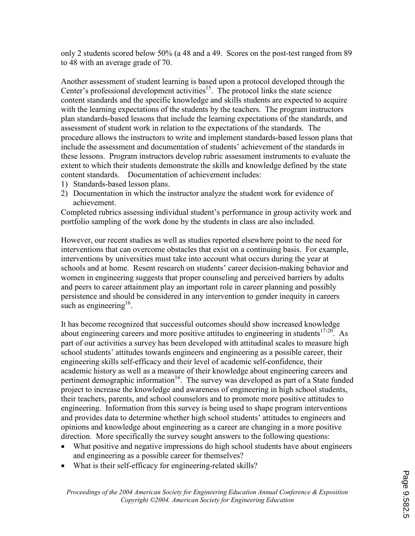only 2 students scored below 50% (a 48 and a 49. Scores on the post-test ranged from 89 to 48 with an average grade of 70.

Another assessment of student learning is based upon a protocol developed through the Center's professional development activities<sup>15</sup>. The protocol links the state science content standards and the specific knowledge and skills students are expected to acquire with the learning expectations of the students by the teachers. The program instructors plan standards-based lessons that include the learning expectations of the standards, and assessment of student work in relation to the expectations of the standards. The procedure allows the instructors to write and implement standards-based lesson plans that include the assessment and documentation of students' achievement of the standards in these lessons. Program instructors develop rubric assessment instruments to evaluate the extent to which their students demonstrate the skills and knowledge defined by the state content standards. Documentation of achievement includes:

- 1) Standards-based lesson plans.
- 2) Documentation in which the instructor analyze the student work for evidence of achievement.

Completed rubrics assessing individual student's performance in group activity work and portfolio sampling of the work done by the students in class are also included.

However, our recent studies as well as studies reported elsewhere point to the need for interventions that can overcome obstacles that exist on a continuing basis. For example, interventions by universities must take into account what occurs during the year at schools and at home. Resent research on students' career decision-making behavior and women in engineering suggests that proper counseling and perceived barriers by adults and peers to career attainment play an important role in career planning and possibly persistence and should be considered in any intervention to gender inequity in careers such as engineering<sup>16</sup>.

It has become recognized that successful outcomes should show increased knowledge about engineering careers and more positive attitudes to engineering in students<sup>17-20</sup>. As part of our activities a survey has been developed with attitudinal scales to measure high school students' attitudes towards engineers and engineering as a possible career, their engineering skills self-efficacy and their level of academic self-confidence, their academic history as well as a measure of their knowledge about engineering careers and pertinent demographic information<sup>16</sup>. The survey was developed as part of a State funded project to increase the knowledge and awareness of engineering in high school students, their teachers, parents, and school counselors and to promote more positive attitudes to engineering. Information from this survey is being used to shape program interventions and provides data to determine whether high school students' attitudes to engineers and opinions and knowledge about engineering as a career are changing in a more positive direction. More specifically the survey sought answers to the following questions:

- What positive and negative impressions do high school students have about engineers and engineering as a possible career for themselves?
- What is their self-efficacy for engineering-related skills?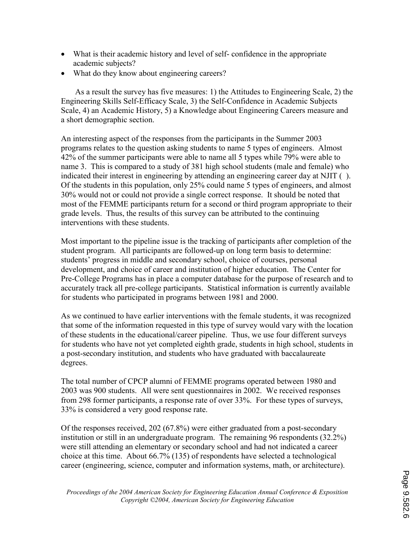- What is their academic history and level of self-confidence in the appropriate academic subjects?
- What do they know about engineering careers?

 As a result the survey has five measures: 1) the Attitudes to Engineering Scale, 2) the Engineering Skills Self-Efficacy Scale, 3) the Self-Confidence in Academic Subjects Scale, 4) an Academic History, 5) a Knowledge about Engineering Careers measure and a short demographic section.

An interesting aspect of the responses from the participants in the Summer 2003 programs relates to the question asking students to name 5 types of engineers. Almost 42% of the summer participants were able to name all 5 types while 79% were able to name 3. This is compared to a study of 381 high school students (male and female) who indicated their interest in engineering by attending an engineering career day at NJIT ( ). Of the students in this population, only 25% could name 5 types of engineers, and almost 30% would not or could not provide a single correct response. It should be noted that most of the FEMME participants return for a second or third program appropriate to their grade levels. Thus, the results of this survey can be attributed to the continuing interventions with these students.

Most important to the pipeline issue is the tracking of participants after completion of the student program. All participants are followed-up on long term basis to determine: students' progress in middle and secondary school, choice of courses, personal development, and choice of career and institution of higher education. The Center for Pre-College Programs has in place a computer database for the purpose of research and to accurately track all pre-college participants. Statistical information is currently available for students who participated in programs between 1981 and 2000.

As we continued to have earlier interventions with the female students, it was recognized that some of the information requested in this type of survey would vary with the location of these students in the educational/career pipeline. Thus, we use four different surveys for students who have not yet completed eighth grade, students in high school, students in a post-secondary institution, and students who have graduated with baccalaureate degrees.

The total number of CPCP alumni of FEMME programs operated between 1980 and 2003 was 900 students. All were sent questionnaires in 2002. We received responses from 298 former participants, a response rate of over 33%. For these types of surveys, 33% is considered a very good response rate.

Of the responses received, 202 (67.8%) were either graduated from a post-secondary institution or still in an undergraduate program. The remaining 96 respondents (32.2%) were still attending an elementary or secondary school and had not indicated a career choice at this time. About 66.7% (135) of respondents have selected a technological career (engineering, science, computer and information systems, math, or architecture).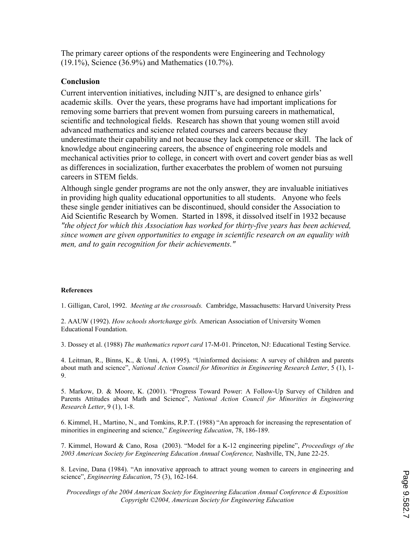The primary career options of the respondents were Engineering and Technology (19.1%), Science (36.9%) and Mathematics (10.7%).

### Conclusion

Current intervention initiatives, including NJIT's, are designed to enhance girls' academic skills. Over the years, these programs have had important implications for removing some barriers that prevent women from pursuing careers in mathematical, scientific and technological fields. Research has shown that young women still avoid advanced mathematics and science related courses and careers because they underestimate their capability and not because they lack competence or skill. The lack of knowledge about engineering careers, the absence of engineering role models and mechanical activities prior to college, in concert with overt and covert gender bias as well as differences in socialization, further exacerbates the problem of women not pursuing careers in STEM fields.

Although single gender programs are not the only answer, they are invaluable initiatives in providing high quality educational opportunities to all students. Anyone who feels these single gender initiatives can be discontinued, should consider the Association to Aid Scientific Research by Women. Started in 1898, it dissolved itself in 1932 because "the object for which this Association has worked for thirty-five years has been achieved, since women are given opportunities to engage in scientific research on an equality with men, and to gain recognition for their achievements."

#### References

1. Gilligan, Carol, 1992. Meeting at the crossroads. Cambridge, Massachusetts: Harvard University Press

2. AAUW (1992). How schools shortchange girls. American Association of University Women Educational Foundation.

3. Dossey et al. (1988) The mathematics report card 17-M-01. Princeton, NJ: Educational Testing Service.

4. Leitman, R., Binns, K., & Unni, A. (1995). "Uninformed decisions: A survey of children and parents about math and science", National Action Council for Minorities in Engineering Research Letter, 5 (1), 1-9.

5. Markow, D. & Moore, K. (2001). "Progress Toward Power: A Follow-Up Survey of Children and Parents Attitudes about Math and Science", National Action Council for Minorities in Engineering Research Letter, 9 (1), 1-8.

6. Kimmel, H., Martino, N., and Tomkins, R.P.T. (1988) "An approach for increasing the representation of minorities in engineering and science," *Engineering Education*, 78, 186-189.

7. Kimmel, Howard & Cano, Rosa (2003). "Model for a K-12 engineering pipeline", Proceedings of the 2003 American Society for Engineering Education Annual Conference, Nashville, TN, June 22-25.

8. Levine, Dana (1984). "An innovative approach to attract young women to careers in engineering and science", Engineering Education, 75 (3), 162-164.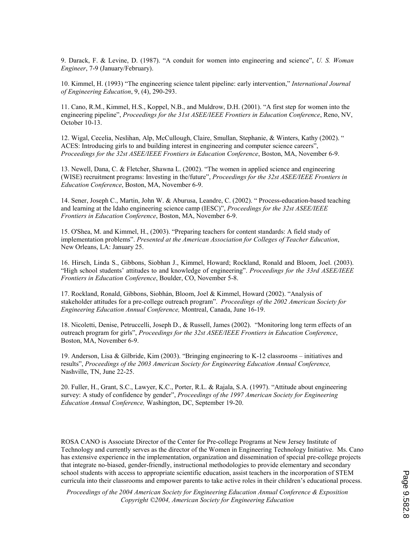9. Darack, F. & Levine, D. (1987). "A conduit for women into engineering and science", U. S. Woman Engineer, 7-9 (January/February).

10. Kimmel, H. (1993) "The engineering science talent pipeline: early intervention," International Journal of Engineering Education, 9, (4), 290-293.

11. Cano, R.M., Kimmel, H.S., Koppel, N.B., and Muldrow, D.H. (2001). "A first step for women into the engineering pipeline", Proceedings for the 31st ASEE/IEEE Frontiers in Education Conference, Reno, NV, October 10-13.

12. Wigal, Cecelia, Neslihan, Alp, McCullough, Claire, Smullan, Stephanie, & Winters, Kathy (2002). " ACES: Introducing girls to and building interest in engineering and computer science careers", Proceedings for the 32st ASEE/IEEE Frontiers in Education Conference, Boston, MA, November 6-9.

13. Newell, Dana, C. & Fletcher, Shawna L. (2002). "The women in applied science and engineering (WISE) recruitment programs: Investing in the/future", Proceedings for the 32st ASEE/IEEE Frontiers in Education Conference, Boston, MA, November 6-9.

14. Sener, Joseph C., Martin, John W. & Aburusa, Leandre, C. (2002). " Process-education-based teaching and learning at the Idaho engineering science camp (IESC)", Proceedings for the 32st ASEE/IEEE Frontiers in Education Conference, Boston, MA, November 6-9.

15. O'Shea, M. and Kimmel, H., (2003). "Preparing teachers for content standards: A field study of implementation problems". Presented at the American Association for Colleges of Teacher Education, New Orleans, LA: January 25.

16. Hirsch, Linda S., Gibbons, Siobhan J., Kimmel, Howard; Rockland, Ronald and Bloom, Joel. (2003). "High school students' attitudes to and knowledge of engineering". Proceedings for the 33rd ASEE/IEEE Frontiers in Education Conference, Boulder, CO, November 5-8.

17. Rockland, Ronald, Gibbons, Siobhán, Bloom, Joel & Kimmel, Howard (2002). "Analysis of stakeholder attitudes for a pre-college outreach program". Proceedings of the 2002 American Society for Engineering Education Annual Conference, Montreal, Canada, June 16-19.

18. Nicoletti, Denise, Petruccelli, Joseph D., & Russell, James (2002). "Monitoring long term effects of an outreach program for girls", Proceedings for the 32st ASEE/IEEE Frontiers in Education Conference, Boston, MA, November 6-9.

19. Anderson, Lisa & Gilbride, Kim (2003). "Bringing engineering to K-12 classrooms – initiatives and results", Proceedings of the 2003 American Society for Engineering Education Annual Conference, Nashville, TN, June 22-25.

20. Fuller, H., Grant, S.C., Lawyer, K.C., Porter, R.L. & Rajala, S.A. (1997). "Attitude about engineering survey: A study of confidence by gender", Proceedings of the 1997 American Society for Engineering Education Annual Conference, Washington, DC, September 19-20.

ROSA CANO is Associate Director of the Center for Pre-college Programs at New Jersey Institute of Technology and currently serves as the director of the Women in Engineering Technology Initiative. Ms. Cano has extensive experience in the implementation, organization and dissemination of special pre-college projects that integrate no-biased, gender-friendly, instructional methodologies to provide elementary and secondary school students with access to appropriate scientific education, assist teachers in the incorporation of STEM curricula into their classrooms and empower parents to take active roles in their children's educational process.